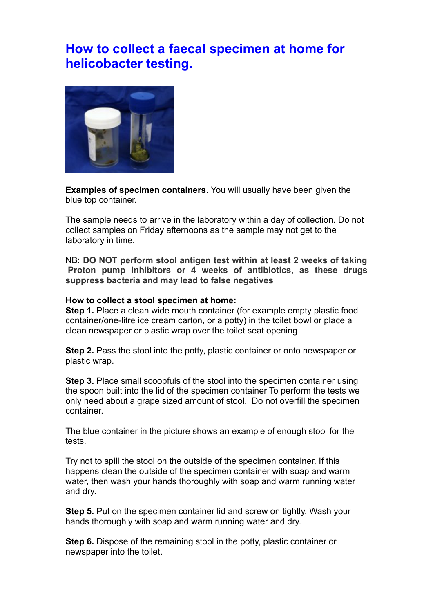## **How to collect a faecal specimen at home for helicobacter testing.**



**Examples of specimen containers**. You will usually have been given the blue top container.

The sample needs to arrive in the laboratory within a day of collection. Do not collect samples on Friday afternoons as the sample may not get to the laboratory in time.

NB: **DO NOT perform stool antigen test within at least 2 weeks of taking Proton pump inhibitors or 4 weeks of antibiotics, as these drugs suppress bacteria and may lead to false negatives**

## **How to collect a stool specimen at home:**

**Step 1.** Place a clean wide mouth container (for example empty plastic food container/one-litre ice cream carton, or a potty) in the toilet bowl or place a clean newspaper or plastic wrap over the toilet seat opening

**Step 2.** Pass the stool into the potty, plastic container or onto newspaper or plastic wrap.

**Step 3.** Place small scoopfuls of the stool into the specimen container using the spoon built into the lid of the specimen container To perform the tests we only need about a grape sized amount of stool. Do not overfill the specimen container.

The blue container in the picture shows an example of enough stool for the tests.

Try not to spill the stool on the outside of the specimen container. If this happens clean the outside of the specimen container with soap and warm water, then wash your hands thoroughly with soap and warm running water and dry.

**Step 5.** Put on the specimen container lid and screw on tightly. Wash your hands thoroughly with soap and warm running water and dry.

**Step 6.** Dispose of the remaining stool in the potty, plastic container or newspaper into the toilet.